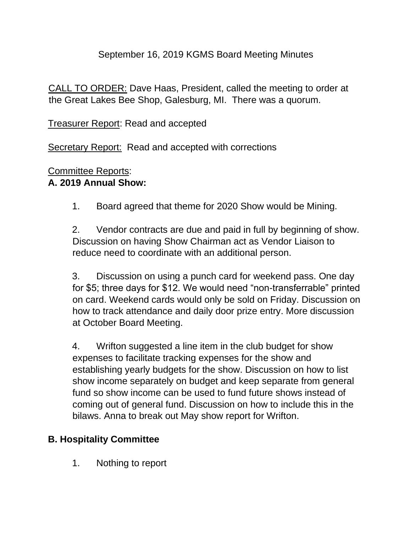#### September 16, 2019 KGMS Board Meeting Minutes

CALL TO ORDER: Dave Haas, President, called the meeting to order at the Great Lakes Bee Shop, Galesburg, MI. There was a quorum.

Treasurer Report: Read and accepted

Secretary Report: Read and accepted with corrections

## Committee Reports:

#### **A. 2019 Annual Show:**

1. Board agreed that theme for 2020 Show would be Mining.

2. Vendor contracts are due and paid in full by beginning of show. Discussion on having Show Chairman act as Vendor Liaison to reduce need to coordinate with an additional person.

3. Discussion on using a punch card for weekend pass. One day for \$5; three days for \$12. We would need "non-transferrable" printed on card. Weekend cards would only be sold on Friday. Discussion on how to track attendance and daily door prize entry. More discussion at October Board Meeting.

4. Wrifton suggested a line item in the club budget for show expenses to facilitate tracking expenses for the show and establishing yearly budgets for the show. Discussion on how to list show income separately on budget and keep separate from general fund so show income can be used to fund future shows instead of coming out of general fund. Discussion on how to include this in the bilaws. Anna to break out May show report for Wrifton.

#### **B. Hospitality Committee**

1. Nothing to report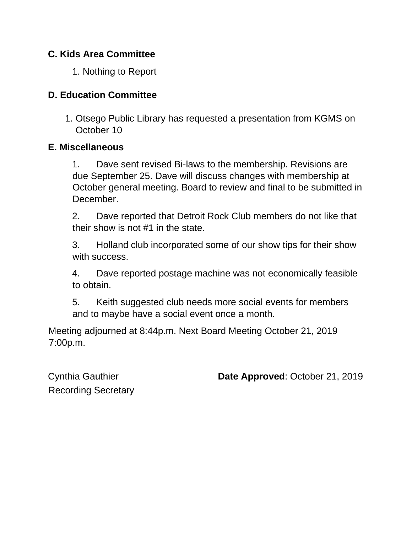#### **C. Kids Area Committee**

1. Nothing to Report

### **D. Education Committee**

1. Otsego Public Library has requested a presentation from KGMS on October 10

#### **E. Miscellaneous**

1. Dave sent revised Bi-laws to the membership. Revisions are due September 25. Dave will discuss changes with membership at October general meeting. Board to review and final to be submitted in December.

2. Dave reported that Detroit Rock Club members do not like that their show is not #1 in the state.

3. Holland club incorporated some of our show tips for their show with success.

4. Dave reported postage machine was not economically feasible to obtain.

5. Keith suggested club needs more social events for members and to maybe have a social event once a month.

Meeting adjourned at 8:44p.m. Next Board Meeting October 21, 2019 7:00p.m.

Recording Secretary

Cynthia Gauthier **Date Approved**: October 21, 2019